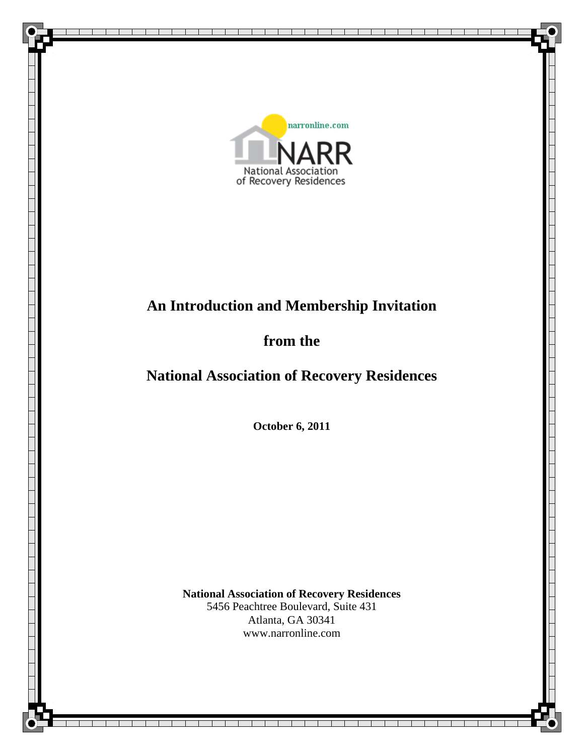

# **An Introduction and Membership Invitation**

# **from the**

# **National Association of Recovery Residences**

**October 6, 2011** 

**National Association of Recovery Residences** 5456 Peachtree Boulevard, Suite 431 Atlanta, GA 30341 www.narronline.com

> The Co  $\blacksquare$

┰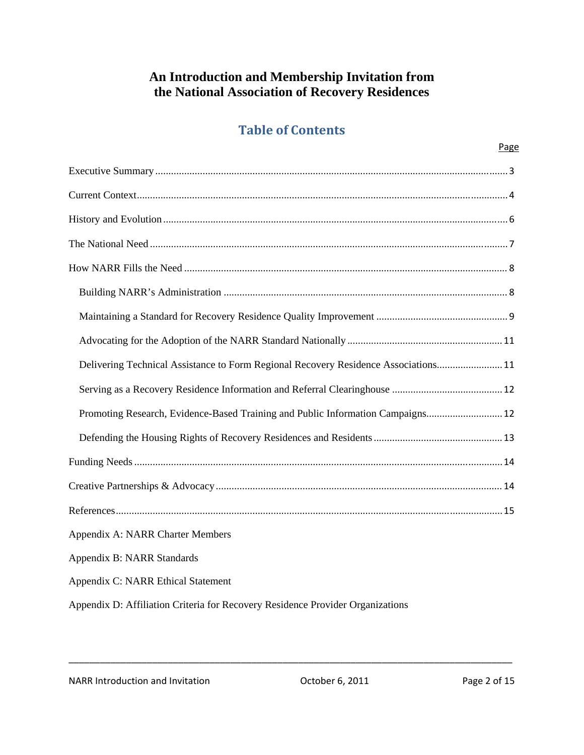### **An Introduction and Membership Invitation from the National Association of Recovery Residences**

### **Table of Contents**

| Delivering Technical Assistance to Form Regional Recovery Residence Associations 11 |
|-------------------------------------------------------------------------------------|
|                                                                                     |
| Promoting Research, Evidence-Based Training and Public Information Campaigns 12     |
|                                                                                     |
|                                                                                     |
|                                                                                     |
|                                                                                     |
| Appendix A: NARR Charter Members                                                    |
| Appendix B: NARR Standards                                                          |
| Appendix C: NARR Ethical Statement                                                  |
| Appendix D: Affiliation Criteria for Recovery Residence Provider Organizations      |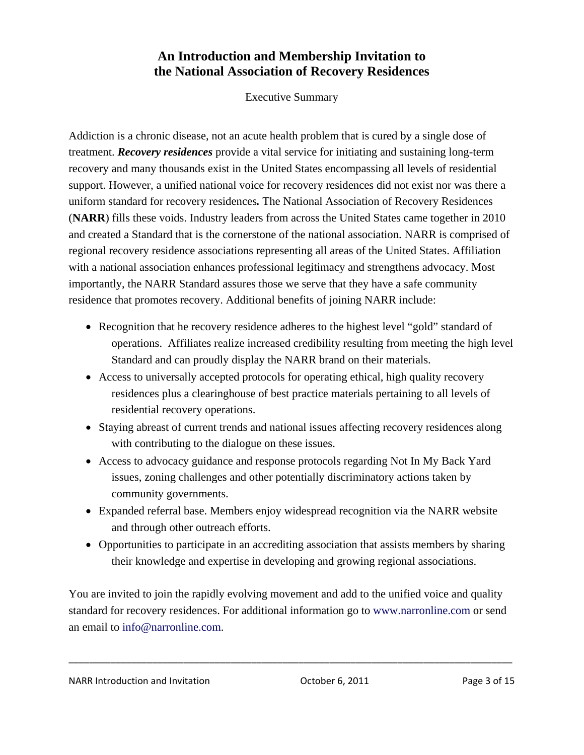### **An Introduction and Membership Invitation to the National Association of Recovery Residences**

Executive Summary

Addiction is a chronic disease, not an acute health problem that is cured by a single dose of treatment. *Recovery residences* provide a vital service for initiating and sustaining long-term recovery and many thousands exist in the United States encompassing all levels of residential support. However, a unified national voice for recovery residences did not exist nor was there a uniform standard for recovery residences*.* The National Association of Recovery Residences (**NARR**) fills these voids. Industry leaders from across the United States came together in 2010 and created a Standard that is the cornerstone of the national association. NARR is comprised of regional recovery residence associations representing all areas of the United States. Affiliation with a national association enhances professional legitimacy and strengthens advocacy. Most importantly, the NARR Standard assures those we serve that they have a safe community residence that promotes recovery. Additional benefits of joining NARR include:

- Recognition that he recovery residence adheres to the highest level "gold" standard of operations. Affiliates realize increased credibility resulting from meeting the high level Standard and can proudly display the NARR brand on their materials.
- Access to universally accepted protocols for operating ethical, high quality recovery residences plus a clearinghouse of best practice materials pertaining to all levels of residential recovery operations.
- Staying abreast of current trends and national issues affecting recovery residences along with contributing to the dialogue on these issues.
- Access to advocacy guidance and response protocols regarding Not In My Back Yard issues, zoning challenges and other potentially discriminatory actions taken by community governments.
- Expanded referral base. Members enjoy widespread recognition via the NARR website and through other outreach efforts.
- Opportunities to participate in an accrediting association that assists members by sharing their knowledge and expertise in developing and growing regional associations.

You are invited to join the rapidly evolving movement and add to the unified voice and quality standard for recovery residences. For additional information go to www.narronline.com or send an email to info@narronline.com.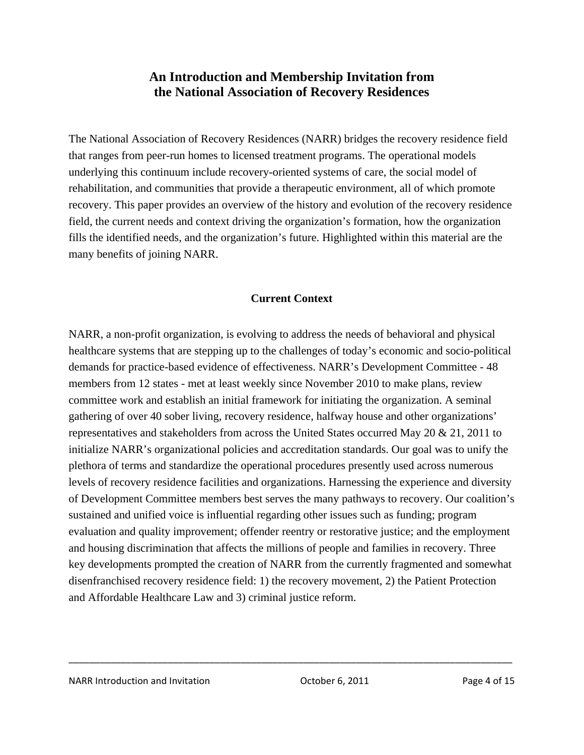### **An Introduction and Membership Invitation from the National Association of Recovery Residences**

The National Association of Recovery Residences (NARR) bridges the recovery residence field that ranges from peer-run homes to licensed treatment programs. The operational models underlying this continuum include recovery-oriented systems of care, the social model of rehabilitation, and communities that provide a therapeutic environment, all of which promote recovery. This paper provides an overview of the history and evolution of the recovery residence field, the current needs and context driving the organization's formation, how the organization fills the identified needs, and the organization's future. Highlighted within this material are the many benefits of joining NARR.

### **Current Context**

NARR, a non-profit organization, is evolving to address the needs of behavioral and physical healthcare systems that are stepping up to the challenges of today's economic and socio-political demands for practice-based evidence of effectiveness. NARR's Development Committee - 48 members from 12 states - met at least weekly since November 2010 to make plans, review committee work and establish an initial framework for initiating the organization. A seminal gathering of over 40 sober living, recovery residence, halfway house and other organizations' representatives and stakeholders from across the United States occurred May 20 & 21, 2011 to initialize NARR's organizational policies and accreditation standards. Our goal was to unify the plethora of terms and standardize the operational procedures presently used across numerous levels of recovery residence facilities and organizations. Harnessing the experience and diversity of Development Committee members best serves the many pathways to recovery. Our coalition's sustained and unified voice is influential regarding other issues such as funding; program evaluation and quality improvement; offender reentry or restorative justice; and the employment and housing discrimination that affects the millions of people and families in recovery. Three key developments prompted the creation of NARR from the currently fragmented and somewhat disenfranchised recovery residence field: 1) the recovery movement, 2) the Patient Protection and Affordable Healthcare Law and 3) criminal justice reform.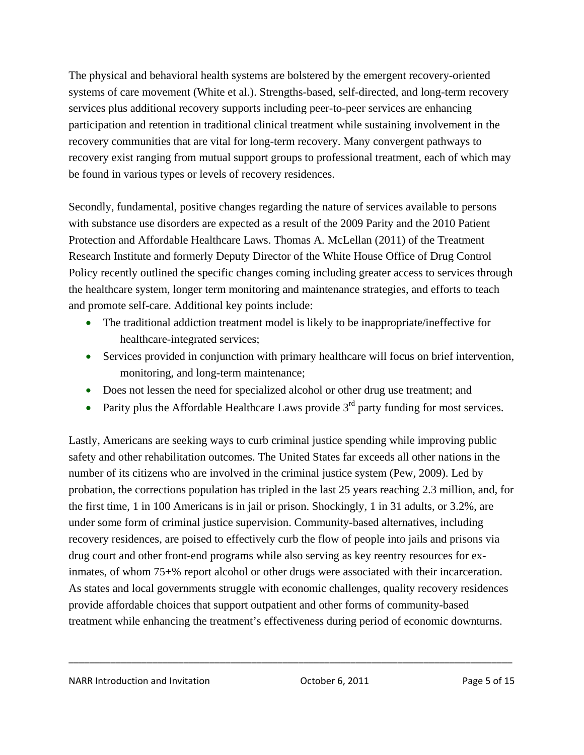The physical and behavioral health systems are bolstered by the emergent recovery-oriented systems of care movement (White et al.). Strengths-based, self-directed, and long-term recovery services plus additional recovery supports including peer-to-peer services are enhancing participation and retention in traditional clinical treatment while sustaining involvement in the recovery communities that are vital for long-term recovery. Many convergent pathways to recovery exist ranging from mutual support groups to professional treatment, each of which may be found in various types or levels of recovery residences.

Secondly, fundamental, positive changes regarding the nature of services available to persons with substance use disorders are expected as a result of the 2009 Parity and the 2010 Patient Protection and Affordable Healthcare Laws. Thomas A. McLellan (2011) of the Treatment Research Institute and formerly Deputy Director of the White House Office of Drug Control Policy recently outlined the specific changes coming including greater access to services through the healthcare system, longer term monitoring and maintenance strategies, and efforts to teach and promote self-care. Additional key points include:

- The traditional addiction treatment model is likely to be inappropriate/ineffective for healthcare-integrated services;
- Services provided in conjunction with primary healthcare will focus on brief intervention, monitoring, and long-term maintenance;
- Does not lessen the need for specialized alcohol or other drug use treatment; and
- Parity plus the Affordable Healthcare Laws provide  $3<sup>rd</sup>$  party funding for most services.

Lastly, Americans are seeking ways to curb criminal justice spending while improving public safety and other rehabilitation outcomes. The United States far exceeds all other nations in the number of its citizens who are involved in the criminal justice system (Pew, 2009). Led by probation, the corrections population has tripled in the last 25 years reaching 2.3 million, and, for the first time, 1 in 100 Americans is in jail or prison. Shockingly, 1 in 31 adults, or 3.2%, are under some form of criminal justice supervision. Community-based alternatives, including recovery residences, are poised to effectively curb the flow of people into jails and prisons via drug court and other front-end programs while also serving as key reentry resources for exinmates, of whom 75+% report alcohol or other drugs were associated with their incarceration. As states and local governments struggle with economic challenges, quality recovery residences provide affordable choices that support outpatient and other forms of community-based treatment while enhancing the treatment's effectiveness during period of economic downturns.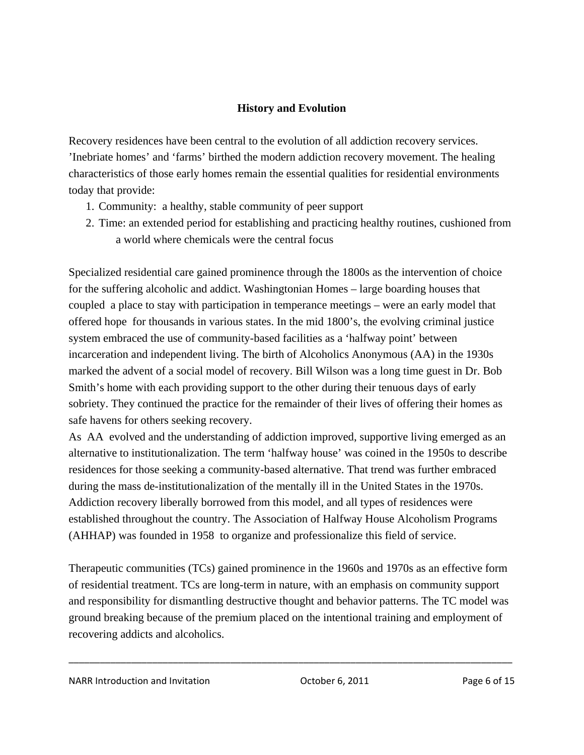### **History and Evolution**

Recovery residences have been central to the evolution of all addiction recovery services. 'Inebriate homes' and 'farms' birthed the modern addiction recovery movement. The healing characteristics of those early homes remain the essential qualities for residential environments today that provide:

- 1. Community: a healthy, stable community of peer support
- 2. Time: an extended period for establishing and practicing healthy routines, cushioned from a world where chemicals were the central focus

Specialized residential care gained prominence through the 1800s as the intervention of choice for the suffering alcoholic and addict. Washingtonian Homes – large boarding houses that coupled a place to stay with participation in temperance meetings – were an early model that offered hope for thousands in various states. In the mid 1800's, the evolving criminal justice system embraced the use of community-based facilities as a 'halfway point' between incarceration and independent living. The birth of Alcoholics Anonymous (AA) in the 1930s marked the advent of a social model of recovery. Bill Wilson was a long time guest in Dr. Bob Smith's home with each providing support to the other during their tenuous days of early sobriety. They continued the practice for the remainder of their lives of offering their homes as safe havens for others seeking recovery.

As AA evolved and the understanding of addiction improved, supportive living emerged as an alternative to institutionalization. The term 'halfway house' was coined in the 1950s to describe residences for those seeking a community-based alternative. That trend was further embraced during the mass de-institutionalization of the mentally ill in the United States in the 1970s. Addiction recovery liberally borrowed from this model, and all types of residences were established throughout the country. The Association of Halfway House Alcoholism Programs (AHHAP) was founded in 1958 to organize and professionalize this field of service.

Therapeutic communities (TCs) gained prominence in the 1960s and 1970s as an effective form of residential treatment. TCs are long-term in nature, with an emphasis on community support and responsibility for dismantling destructive thought and behavior patterns. The TC model was ground breaking because of the premium placed on the intentional training and employment of recovering addicts and alcoholics.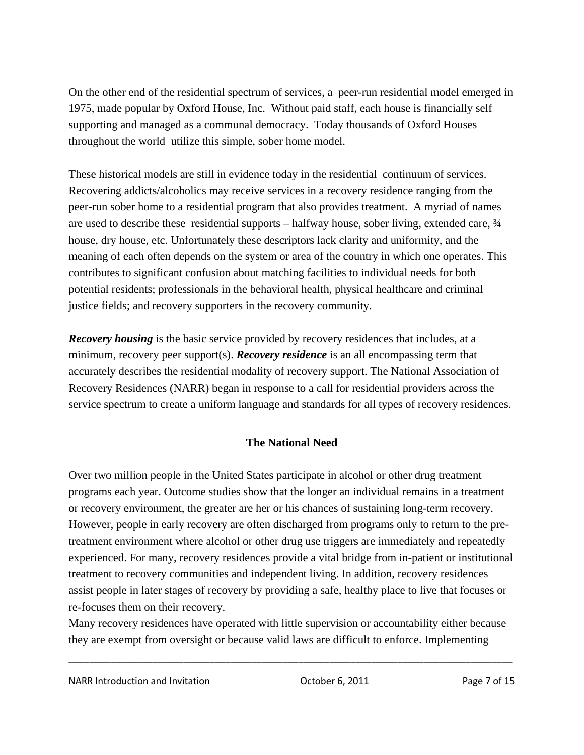On the other end of the residential spectrum of services, a peer-run residential model emerged in 1975, made popular by Oxford House, Inc. Without paid staff, each house is financially self supporting and managed as a communal democracy. Today thousands of Oxford Houses throughout the world utilize this simple, sober home model.

These historical models are still in evidence today in the residential continuum of services. Recovering addicts/alcoholics may receive services in a recovery residence ranging from the peer-run sober home to a residential program that also provides treatment. A myriad of names are used to describe these residential supports – halfway house, sober living, extended care,  $\frac{3}{4}$ house, dry house, etc. Unfortunately these descriptors lack clarity and uniformity, and the meaning of each often depends on the system or area of the country in which one operates. This contributes to significant confusion about matching facilities to individual needs for both potential residents; professionals in the behavioral health, physical healthcare and criminal justice fields; and recovery supporters in the recovery community.

*Recovery housing* is the basic service provided by recovery residences that includes, at a minimum, recovery peer support(s). *Recovery residence* is an all encompassing term that accurately describes the residential modality of recovery support. The National Association of Recovery Residences (NARR) began in response to a call for residential providers across the service spectrum to create a uniform language and standards for all types of recovery residences.

### **The National Need**

Over two million people in the United States participate in alcohol or other drug treatment programs each year. Outcome studies show that the longer an individual remains in a treatment or recovery environment, the greater are her or his chances of sustaining long-term recovery. However, people in early recovery are often discharged from programs only to return to the pretreatment environment where alcohol or other drug use triggers are immediately and repeatedly experienced. For many, recovery residences provide a vital bridge from in-patient or institutional treatment to recovery communities and independent living. In addition, recovery residences assist people in later stages of recovery by providing a safe, healthy place to live that focuses or re-focuses them on their recovery.

Many recovery residences have operated with little supervision or accountability either because they are exempt from oversight or because valid laws are difficult to enforce. Implementing

\_\_\_\_\_\_\_\_\_\_\_\_\_\_\_\_\_\_\_\_\_\_\_\_\_\_\_\_\_\_\_\_\_\_\_\_\_\_\_\_\_\_\_\_\_\_\_\_\_\_\_\_\_\_\_\_\_\_\_\_\_\_\_\_\_\_\_\_\_\_\_\_\_\_\_\_\_\_\_\_\_\_\_\_\_

NARR Introduction and Invitation **NARR Introduction** and Invitation **Page 7** of 15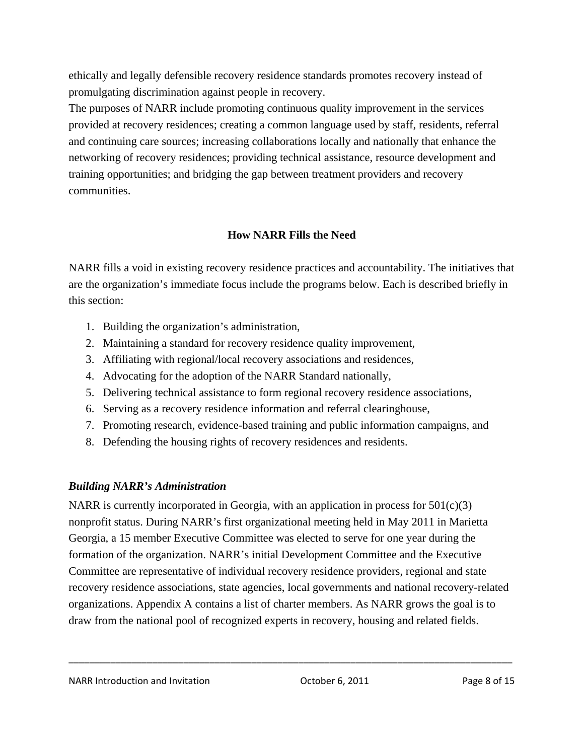ethically and legally defensible recovery residence standards promotes recovery instead of promulgating discrimination against people in recovery.

The purposes of NARR include promoting continuous quality improvement in the services provided at recovery residences; creating a common language used by staff, residents, referral and continuing care sources; increasing collaborations locally and nationally that enhance the networking of recovery residences; providing technical assistance, resource development and training opportunities; and bridging the gap between treatment providers and recovery communities.

### **How NARR Fills the Need**

NARR fills a void in existing recovery residence practices and accountability. The initiatives that are the organization's immediate focus include the programs below. Each is described briefly in this section:

- 1. Building the organization's administration,
- 2. Maintaining a standard for recovery residence quality improvement,
- 3. Affiliating with regional/local recovery associations and residences,
- 4. Advocating for the adoption of the NARR Standard nationally,
- 5. Delivering technical assistance to form regional recovery residence associations,
- 6. Serving as a recovery residence information and referral clearinghouse,
- 7. Promoting research, evidence-based training and public information campaigns, and
- 8. Defending the housing rights of recovery residences and residents.

### *Building NARR's Administration*

NARR is currently incorporated in Georgia, with an application in process for  $501(c)(3)$ nonprofit status. During NARR's first organizational meeting held in May 2011 in Marietta Georgia, a 15 member Executive Committee was elected to serve for one year during the formation of the organization. NARR's initial Development Committee and the Executive Committee are representative of individual recovery residence providers, regional and state recovery residence associations, state agencies, local governments and national recovery-related organizations. Appendix A contains a list of charter members. As NARR grows the goal is to draw from the national pool of recognized experts in recovery, housing and related fields.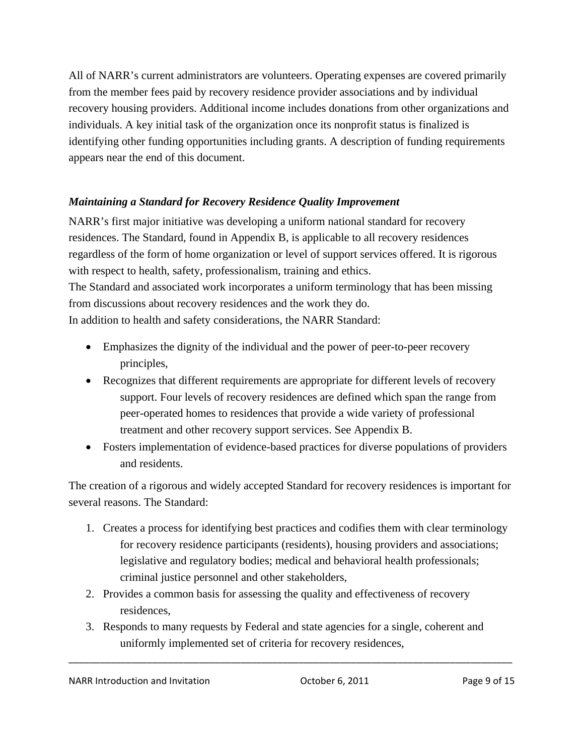All of NARR's current administrators are volunteers. Operating expenses are covered primarily from the member fees paid by recovery residence provider associations and by individual recovery housing providers. Additional income includes donations from other organizations and individuals. A key initial task of the organization once its nonprofit status is finalized is identifying other funding opportunities including grants. A description of funding requirements appears near the end of this document.

### *Maintaining a Standard for Recovery Residence Quality Improvement*

NARR's first major initiative was developing a uniform national standard for recovery residences. The Standard, found in Appendix B, is applicable to all recovery residences regardless of the form of home organization or level of support services offered. It is rigorous with respect to health, safety, professionalism, training and ethics. The Standard and associated work incorporates a uniform terminology that has been missing from discussions about recovery residences and the work they do.

In addition to health and safety considerations, the NARR Standard:

- Emphasizes the dignity of the individual and the power of peer-to-peer recovery principles,
- Recognizes that different requirements are appropriate for different levels of recovery support. Four levels of recovery residences are defined which span the range from peer-operated homes to residences that provide a wide variety of professional treatment and other recovery support services. See Appendix B.
- Fosters implementation of evidence-based practices for diverse populations of providers and residents.

The creation of a rigorous and widely accepted Standard for recovery residences is important for several reasons. The Standard:

- 1. Creates a process for identifying best practices and codifies them with clear terminology for recovery residence participants (residents), housing providers and associations; legislative and regulatory bodies; medical and behavioral health professionals; criminal justice personnel and other stakeholders,
- 2. Provides a common basis for assessing the quality and effectiveness of recovery residences,
- 3. Responds to many requests by Federal and state agencies for a single, coherent and uniformly implemented set of criteria for recovery residences,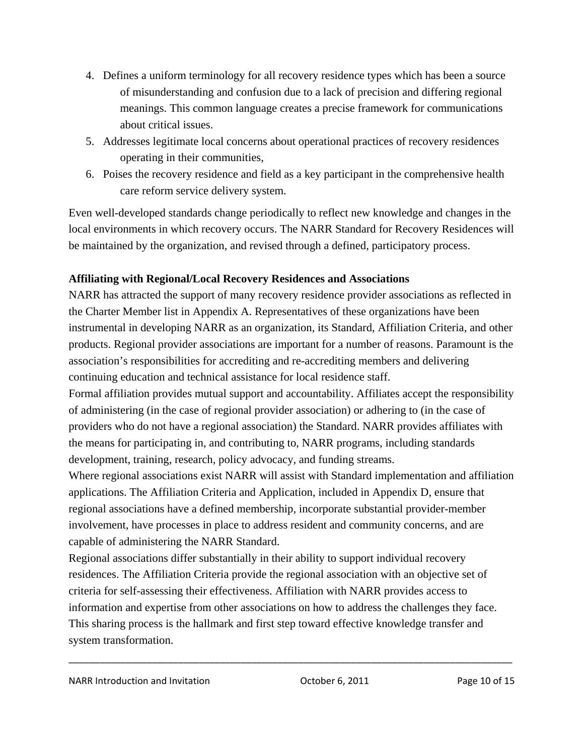- 4. Defines a uniform terminology for all recovery residence types which has been a source of misunderstanding and confusion due to a lack of precision and differing regional meanings. This common language creates a precise framework for communications about critical issues.
- 5. Addresses legitimate local concerns about operational practices of recovery residences operating in their communities,
- 6. Poises the recovery residence and field as a key participant in the comprehensive health care reform service delivery system.

Even well-developed standards change periodically to reflect new knowledge and changes in the local environments in which recovery occurs. The NARR Standard for Recovery Residences will be maintained by the organization, and revised through a defined, participatory process.

### **Affiliating with Regional/Local Recovery Residences and Associations**

NARR has attracted the support of many recovery residence provider associations as reflected in the Charter Member list in Appendix A. Representatives of these organizations have been instrumental in developing NARR as an organization, its Standard, Affiliation Criteria, and other products. Regional provider associations are important for a number of reasons. Paramount is the association's responsibilities for accrediting and re-accrediting members and delivering continuing education and technical assistance for local residence staff.

Formal affiliation provides mutual support and accountability. Affiliates accept the responsibility of administering (in the case of regional provider association) or adhering to (in the case of providers who do not have a regional association) the Standard. NARR provides affiliates with the means for participating in, and contributing to, NARR programs, including standards development, training, research, policy advocacy, and funding streams.

Where regional associations exist NARR will assist with Standard implementation and affiliation applications. The Affiliation Criteria and Application, included in Appendix D, ensure that regional associations have a defined membership, incorporate substantial provider-member involvement, have processes in place to address resident and community concerns, and are capable of administering the NARR Standard.

Regional associations differ substantially in their ability to support individual recovery residences. The Affiliation Criteria provide the regional association with an objective set of criteria for self-assessing their effectiveness. Affiliation with NARR provides access to information and expertise from other associations on how to address the challenges they face. This sharing process is the hallmark and first step toward effective knowledge transfer and system transformation.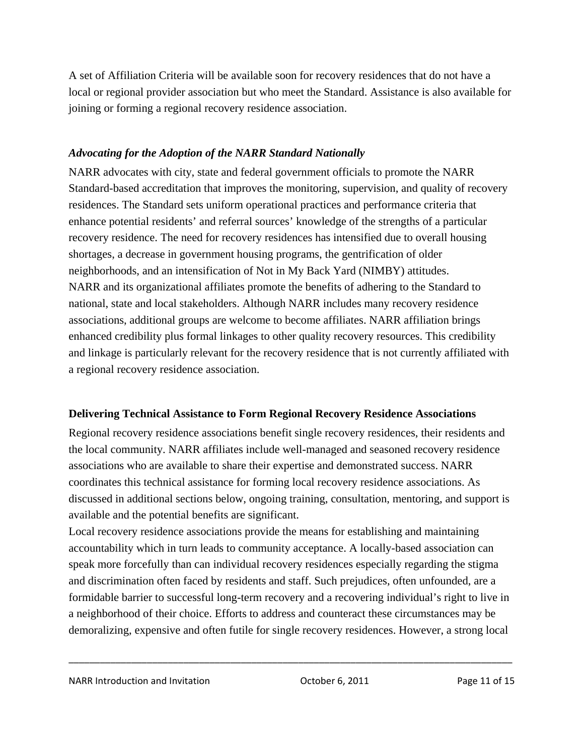A set of Affiliation Criteria will be available soon for recovery residences that do not have a local or regional provider association but who meet the Standard. Assistance is also available for joining or forming a regional recovery residence association.

### *Advocating for the Adoption of the NARR Standard Nationally*

NARR advocates with city, state and federal government officials to promote the NARR Standard-based accreditation that improves the monitoring, supervision, and quality of recovery residences. The Standard sets uniform operational practices and performance criteria that enhance potential residents' and referral sources' knowledge of the strengths of a particular recovery residence. The need for recovery residences has intensified due to overall housing shortages, a decrease in government housing programs, the gentrification of older neighborhoods, and an intensification of Not in My Back Yard (NIMBY) attitudes. NARR and its organizational affiliates promote the benefits of adhering to the Standard to national, state and local stakeholders. Although NARR includes many recovery residence associations, additional groups are welcome to become affiliates. NARR affiliation brings enhanced credibility plus formal linkages to other quality recovery resources. This credibility and linkage is particularly relevant for the recovery residence that is not currently affiliated with a regional recovery residence association.

### **Delivering Technical Assistance to Form Regional Recovery Residence Associations**

Regional recovery residence associations benefit single recovery residences, their residents and the local community. NARR affiliates include well-managed and seasoned recovery residence associations who are available to share their expertise and demonstrated success. NARR coordinates this technical assistance for forming local recovery residence associations. As discussed in additional sections below, ongoing training, consultation, mentoring, and support is available and the potential benefits are significant.

Local recovery residence associations provide the means for establishing and maintaining accountability which in turn leads to community acceptance. A locally-based association can speak more forcefully than can individual recovery residences especially regarding the stigma and discrimination often faced by residents and staff. Such prejudices, often unfounded, are a formidable barrier to successful long-term recovery and a recovering individual's right to live in a neighborhood of their choice. Efforts to address and counteract these circumstances may be demoralizing, expensive and often futile for single recovery residences. However, a strong local

\_\_\_\_\_\_\_\_\_\_\_\_\_\_\_\_\_\_\_\_\_\_\_\_\_\_\_\_\_\_\_\_\_\_\_\_\_\_\_\_\_\_\_\_\_\_\_\_\_\_\_\_\_\_\_\_\_\_\_\_\_\_\_\_\_\_\_\_\_\_\_\_\_\_\_\_\_\_\_\_\_\_\_\_\_

NARR Introduction and Invitation **NARR** Introduction and Invitation **Page 11 of 15** October 6, 2011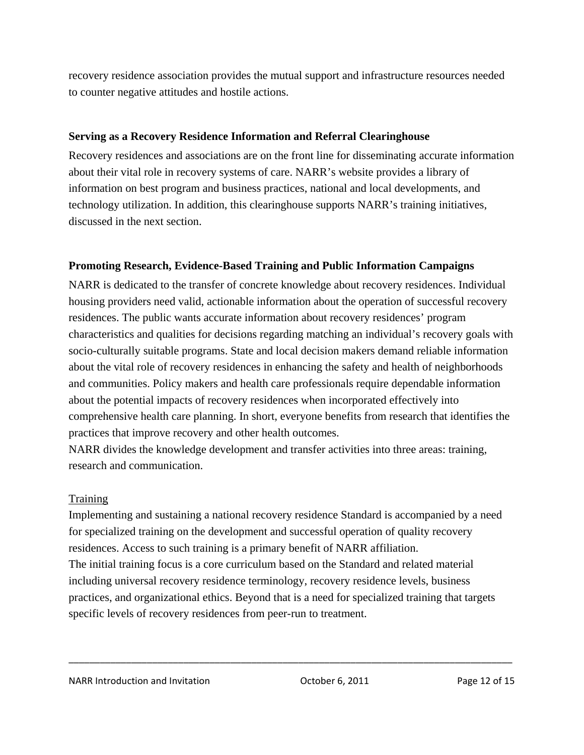recovery residence association provides the mutual support and infrastructure resources needed to counter negative attitudes and hostile actions.

### **Serving as a Recovery Residence Information and Referral Clearinghouse**

Recovery residences and associations are on the front line for disseminating accurate information about their vital role in recovery systems of care. NARR's website provides a library of information on best program and business practices, national and local developments, and technology utilization. In addition, this clearinghouse supports NARR's training initiatives, discussed in the next section.

### **Promoting Research, Evidence-Based Training and Public Information Campaigns**

NARR is dedicated to the transfer of concrete knowledge about recovery residences. Individual housing providers need valid, actionable information about the operation of successful recovery residences. The public wants accurate information about recovery residences' program characteristics and qualities for decisions regarding matching an individual's recovery goals with socio-culturally suitable programs. State and local decision makers demand reliable information about the vital role of recovery residences in enhancing the safety and health of neighborhoods and communities. Policy makers and health care professionals require dependable information about the potential impacts of recovery residences when incorporated effectively into comprehensive health care planning. In short, everyone benefits from research that identifies the practices that improve recovery and other health outcomes.

NARR divides the knowledge development and transfer activities into three areas: training, research and communication.

### **Training**

Implementing and sustaining a national recovery residence Standard is accompanied by a need for specialized training on the development and successful operation of quality recovery residences. Access to such training is a primary benefit of NARR affiliation. The initial training focus is a core curriculum based on the Standard and related material including universal recovery residence terminology, recovery residence levels, business practices, and organizational ethics. Beyond that is a need for specialized training that targets specific levels of recovery residences from peer-run to treatment.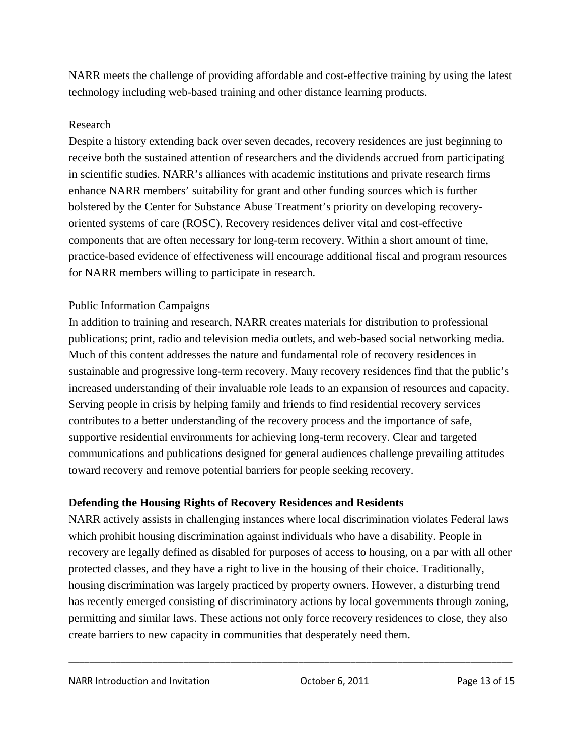NARR meets the challenge of providing affordable and cost-effective training by using the latest technology including web-based training and other distance learning products.

### Research

Despite a history extending back over seven decades, recovery residences are just beginning to receive both the sustained attention of researchers and the dividends accrued from participating in scientific studies. NARR's alliances with academic institutions and private research firms enhance NARR members' suitability for grant and other funding sources which is further bolstered by the Center for Substance Abuse Treatment's priority on developing recoveryoriented systems of care (ROSC). Recovery residences deliver vital and cost-effective components that are often necessary for long-term recovery. Within a short amount of time, practice-based evidence of effectiveness will encourage additional fiscal and program resources for NARR members willing to participate in research.

### Public Information Campaigns

In addition to training and research, NARR creates materials for distribution to professional publications; print, radio and television media outlets, and web-based social networking media. Much of this content addresses the nature and fundamental role of recovery residences in sustainable and progressive long-term recovery. Many recovery residences find that the public's increased understanding of their invaluable role leads to an expansion of resources and capacity. Serving people in crisis by helping family and friends to find residential recovery services contributes to a better understanding of the recovery process and the importance of safe, supportive residential environments for achieving long-term recovery. Clear and targeted communications and publications designed for general audiences challenge prevailing attitudes toward recovery and remove potential barriers for people seeking recovery.

### **Defending the Housing Rights of Recovery Residences and Residents**

NARR actively assists in challenging instances where local discrimination violates Federal laws which prohibit housing discrimination against individuals who have a disability. People in recovery are legally defined as disabled for purposes of access to housing, on a par with all other protected classes, and they have a right to live in the housing of their choice. Traditionally, housing discrimination was largely practiced by property owners. However, a disturbing trend has recently emerged consisting of discriminatory actions by local governments through zoning, permitting and similar laws. These actions not only force recovery residences to close, they also create barriers to new capacity in communities that desperately need them.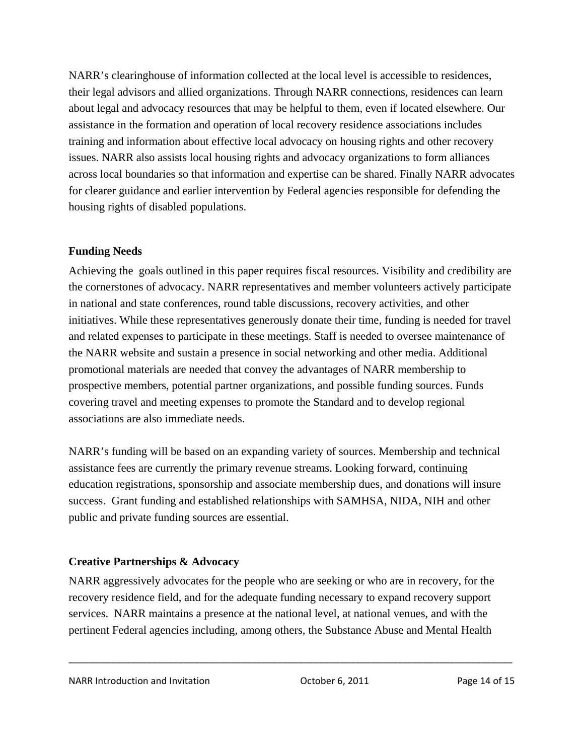NARR's clearinghouse of information collected at the local level is accessible to residences, their legal advisors and allied organizations. Through NARR connections, residences can learn about legal and advocacy resources that may be helpful to them, even if located elsewhere. Our assistance in the formation and operation of local recovery residence associations includes training and information about effective local advocacy on housing rights and other recovery issues. NARR also assists local housing rights and advocacy organizations to form alliances across local boundaries so that information and expertise can be shared. Finally NARR advocates for clearer guidance and earlier intervention by Federal agencies responsible for defending the housing rights of disabled populations.

### **Funding Needs**

Achieving the goals outlined in this paper requires fiscal resources. Visibility and credibility are the cornerstones of advocacy. NARR representatives and member volunteers actively participate in national and state conferences, round table discussions, recovery activities, and other initiatives. While these representatives generously donate their time, funding is needed for travel and related expenses to participate in these meetings. Staff is needed to oversee maintenance of the NARR website and sustain a presence in social networking and other media. Additional promotional materials are needed that convey the advantages of NARR membership to prospective members, potential partner organizations, and possible funding sources. Funds covering travel and meeting expenses to promote the Standard and to develop regional associations are also immediate needs.

NARR's funding will be based on an expanding variety of sources. Membership and technical assistance fees are currently the primary revenue streams. Looking forward, continuing education registrations, sponsorship and associate membership dues, and donations will insure success. Grant funding and established relationships with SAMHSA, NIDA, NIH and other public and private funding sources are essential.

### **Creative Partnerships & Advocacy**

NARR aggressively advocates for the people who are seeking or who are in recovery, for the recovery residence field, and for the adequate funding necessary to expand recovery support services. NARR maintains a presence at the national level, at national venues, and with the pertinent Federal agencies including, among others, the Substance Abuse and Mental Health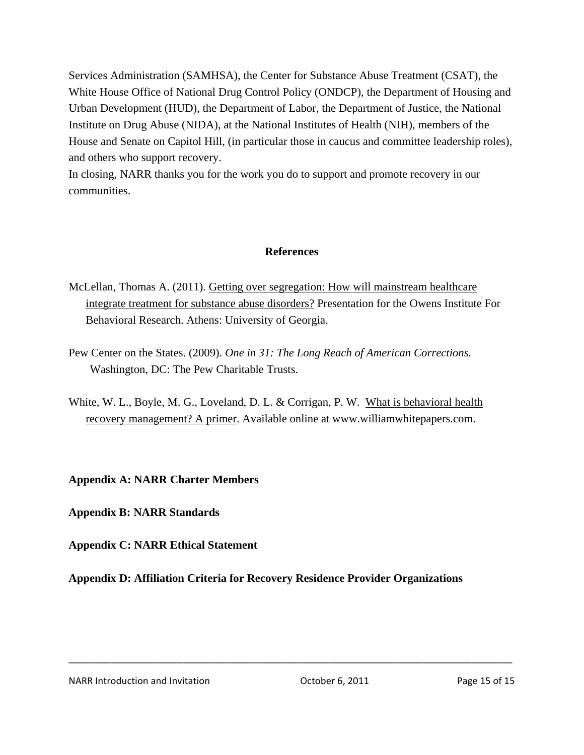Services Administration (SAMHSA), the Center for Substance Abuse Treatment (CSAT), the White House Office of National Drug Control Policy (ONDCP), the Department of Housing and Urban Development (HUD), the Department of Labor, the Department of Justice, the National Institute on Drug Abuse (NIDA), at the National Institutes of Health (NIH), members of the House and Senate on Capitol Hill, (in particular those in caucus and committee leadership roles), and others who support recovery.

In closing, NARR thanks you for the work you do to support and promote recovery in our communities.

### **References**

- McLellan, Thomas A. (2011). Getting over segregation: How will mainstream healthcare integrate treatment for substance abuse disorders? Presentation for the Owens Institute For Behavioral Research. Athens: University of Georgia.
- Pew Center on the States. (2009). *One in 31: The Long Reach of American Corrections.*  Washington, DC: The Pew Charitable Trusts.
- White, W. L., Boyle, M. G., Loveland, D. L. & Corrigan, P. W. What is behavioral health recovery management? A primer. Available online at www.williamwhitepapers.com.

**Appendix A: NARR Charter Members** 

**Appendix B: NARR Standards** 

**Appendix C: NARR Ethical Statement** 

**Appendix D: Affiliation Criteria for Recovery Residence Provider Organizations** 

\_\_\_\_\_\_\_\_\_\_\_\_\_\_\_\_\_\_\_\_\_\_\_\_\_\_\_\_\_\_\_\_\_\_\_\_\_\_\_\_\_\_\_\_\_\_\_\_\_\_\_\_\_\_\_\_\_\_\_\_\_\_\_\_\_\_\_\_\_\_\_\_\_\_\_\_\_\_\_\_\_\_\_\_\_

NARR Introduction and Invitation **NARR** Introduction and Invitation **Page 15** of 15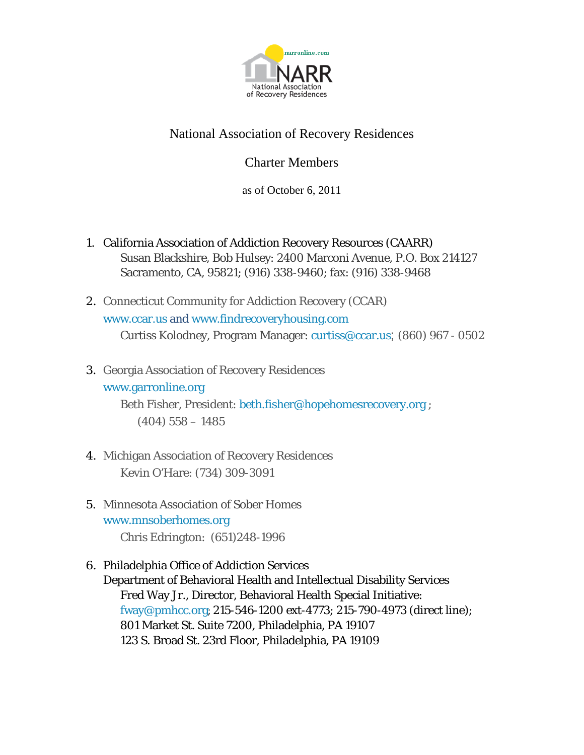

### National Association of Recovery Residences

### Charter Members

as of October 6, 2011

- 1. California Association of Addiction Recovery Resources (CAARR) Susan Blackshire, Bob Hulsey: 2400 Marconi Avenue, P.O. Box 214127 Sacramento, CA, 95821; (916) 338-9460; fax: (916) 338-9468
- 2. Connecticut Community for Addiction Recovery (CCAR) www.ccar.us and www.findrecoveryhousing.com Curtiss Kolodney, Program Manager: curtiss@ccar.us; (860) 967 - 0502
- 3. Georgia Association of Recovery Residences

### www.garronline.org

 Beth Fisher, President: beth.fisher@hopehomesrecovery.org ; (404) 558 – 1485

- 4. Michigan Association of Recovery Residences Kevin O'Hare: (734) 309-3091
- 5. Minnesota Association of Sober Homes www.mnsoberhomes.org Chris Edrington: (651)248-1996
- 6. Philadelphia Office of Addiction Services

Department of Behavioral Health and Intellectual Disability Services Fred Way Jr., Director, Behavioral Health Special Initiative: fway@pmhcc.org; 215-546-1200 ext-4773; 215-790-4973 (direct line); 801 Market St. Suite 7200, Philadelphia, PA 19107 123 S. Broad St. 23rd Floor, Philadelphia, PA 19109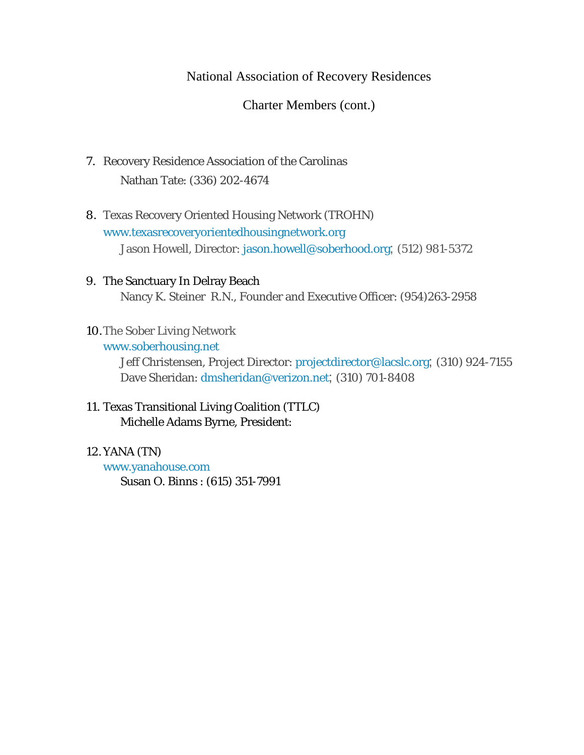### National Association of Recovery Residences

Charter Members (cont.)

- 7. Recovery Residence Association of the Carolinas Nathan Tate: (336) 202-4674
- 8. Texas Recovery Oriented Housing Network (TROHN) www.texasrecoveryorientedhousingnetwork.org Jason Howell, Director: jason.howell@soberhood.org; (512) 981-5372
- 9. The Sanctuary In Delray Beach Nancy K. Steiner R.N., Founder and Executive Officer: (954)263-2958
- 10.The Sober Living Network

#### www.soberhousing.net

Jeff Christensen, Project Director: projectdirector@lacslc.org; (310) 924-7155 Dave Sheridan: dmsheridan@verizon.net; (310) 701-8408

### 11. Texas Transitional Living Coalition (TTLC) Michelle Adams Byrne, President:

#### 12.YANA (TN)

www.yanahouse.com Susan O. Binns : (615) 351-7991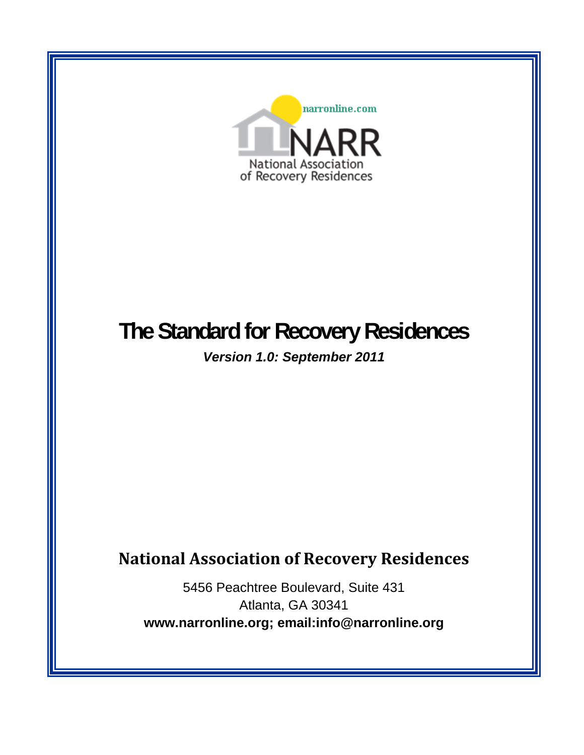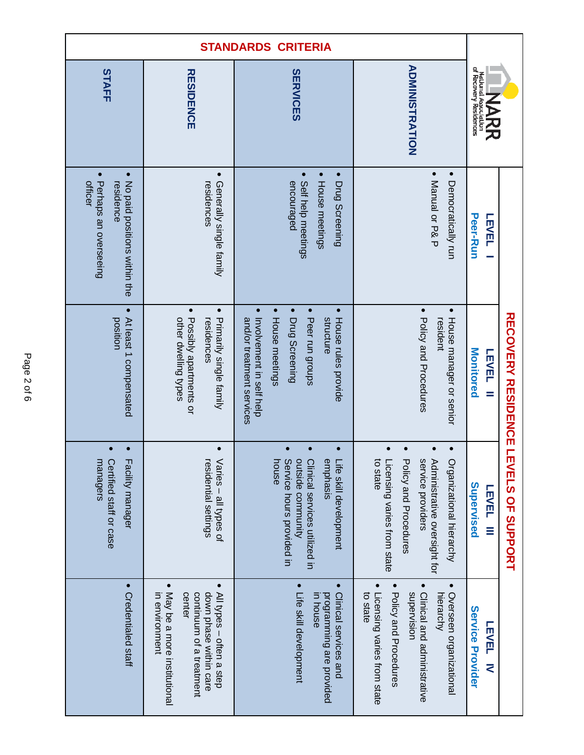| <b>STANDARDS CRITERIA</b>                                                                               |                                                                                                                                                          |                                                                                                                                                                                                      |                                                                                                                                                                     |                                                                  |  |
|---------------------------------------------------------------------------------------------------------|----------------------------------------------------------------------------------------------------------------------------------------------------------|------------------------------------------------------------------------------------------------------------------------------------------------------------------------------------------------------|---------------------------------------------------------------------------------------------------------------------------------------------------------------------|------------------------------------------------------------------|--|
| STAFF                                                                                                   | <b>RESIDENCE</b>                                                                                                                                         | <b>SERVICES</b>                                                                                                                                                                                      | <b>ADMINISTRATION</b>                                                                                                                                               | of Recovery Residences<br>National Associa<br>石刀                 |  |
| $\bullet$<br>$\bullet$<br>Perhaps an overseeing<br>officer<br>No paid positions within the<br>residence | $\bullet$<br>Generally single family<br>residences                                                                                                       | $\bullet$<br>House meetings<br>Self help meetings<br>encouraged<br>Drug Screening                                                                                                                    | • Manual or P& P<br>Democratically run                                                                                                                              | <b>Peer-Run</b><br>LEVEL                                         |  |
| $\bullet$<br>At least 1 compensated<br>position                                                         | • Possibly apartments or<br>$\bullet$<br>Primarily single family<br>other dwelling types<br>residences                                                   | $\bullet$<br>$\bullet$<br>$\bullet$<br>$\bullet$<br>Peer run groups<br>Involvement in self help<br>structure<br>and/or treatment services<br>House meetings<br>Drug Screening<br>House rules provide | $\bullet$<br>Policy and Procedures<br>House manager or senior<br>resident                                                                                           | Monitored<br><b>LEVEL</b><br>$=$                                 |  |
| $\bullet$<br>nanagers<br>Certified staff or case<br>Facility manager                                    | esidential settings<br>$\sqrt{a}$ ries – all types of                                                                                                    | Service hours provided in<br>butside community<br>puse<br>Clinical services ritilized in<br><b>Sinphasis</b><br>ife skill development                                                                | o state<br>-icensing varies from state<br>Policy and Procedures<br>service providers<br>Administrative oversight for<br>Organizational hierarchy                    | RECOVERY RESIDENCE LEVEL'S OF SUPPORT<br>Supervised<br>LEVEL III |  |
| • Credentialed staff                                                                                    | • May be a more institutional<br>$\bullet$<br>All types - often a step<br>down phase within care<br>in environment<br>center<br>continuum of a treatment | $\bullet$<br>$\bullet$<br>Clinical services and<br>Life skill development<br>programming are provided<br>in house                                                                                    | $\bullet$<br>Policy and Procedures<br>supervision<br>Clinical and administrative<br>Overseen organizational<br>to state<br>Licensing varies from state<br>hierarchy | <b>Service Provider</b><br><b>LEVEL</b><br>₹                     |  |

Page 2 of 6 Page 2 of 6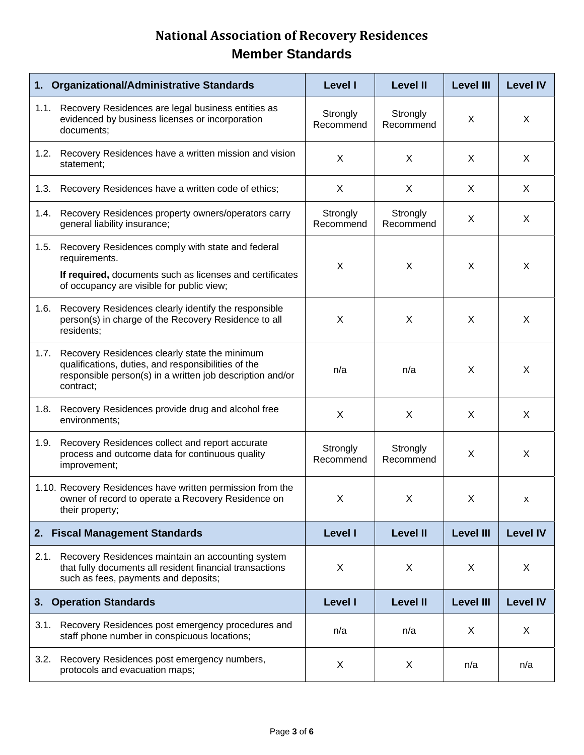| 1.   | <b>Organizational/Administrative Standards</b>                                                                                                                                 | <b>Level I</b>        | <b>Level II</b>       | <b>Level III</b> | <b>Level IV</b> |
|------|--------------------------------------------------------------------------------------------------------------------------------------------------------------------------------|-----------------------|-----------------------|------------------|-----------------|
|      | 1.1. Recovery Residences are legal business entities as<br>evidenced by business licenses or incorporation<br>documents;                                                       |                       | Strongly<br>Recommend | X                | X               |
| 1.2. | Recovery Residences have a written mission and vision<br>statement;                                                                                                            | X                     | X                     | X                | X               |
| 1.3. | Recovery Residences have a written code of ethics;                                                                                                                             | X                     | X                     | X                | X               |
| 1.4. | Recovery Residences property owners/operators carry<br>general liability insurance;                                                                                            | Strongly<br>Recommend | Strongly<br>Recommend | X                | X               |
| 1.5. | Recovery Residences comply with state and federal<br>requirements.<br>If required, documents such as licenses and certificates<br>of occupancy are visible for public view;    | X                     | X                     | X                | X               |
| 1.6. | Recovery Residences clearly identify the responsible<br>person(s) in charge of the Recovery Residence to all<br>residents;                                                     | X                     | X                     | X                | X               |
| 1.7. | Recovery Residences clearly state the minimum<br>qualifications, duties, and responsibilities of the<br>responsible person(s) in a written job description and/or<br>contract; | n/a                   | n/a                   | X                | X               |
| 1.8. | Recovery Residences provide drug and alcohol free<br>environments;                                                                                                             | X                     | X                     | X                | X               |
| 1.9. | Recovery Residences collect and report accurate<br>process and outcome data for continuous quality<br>improvement;                                                             | Strongly<br>Recommend | Strongly<br>Recommend | X                | X               |
|      | 1.10. Recovery Residences have written permission from the<br>owner of record to operate a Recovery Residence on<br>their property;                                            | X.                    | X                     | X                | x               |
| 2.   | <b>Fiscal Management Standards</b>                                                                                                                                             | <b>Level I</b>        | <b>Level II</b>       | <b>Level III</b> | <b>Level IV</b> |
| 2.1. | Recovery Residences maintain an accounting system<br>that fully documents all resident financial transactions<br>such as fees, payments and deposits;                          | X                     | X                     | X                | X               |
| 3.   | <b>Operation Standards</b>                                                                                                                                                     | <b>Level I</b>        | <b>Level II</b>       | <b>Level III</b> | <b>Level IV</b> |
| 3.1. | Recovery Residences post emergency procedures and<br>staff phone number in conspicuous locations;                                                                              | n/a                   | n/a                   | X                | X               |
| 3.2. | Recovery Residences post emergency numbers,<br>protocols and evacuation maps;                                                                                                  | X                     | X                     | n/a              | n/a             |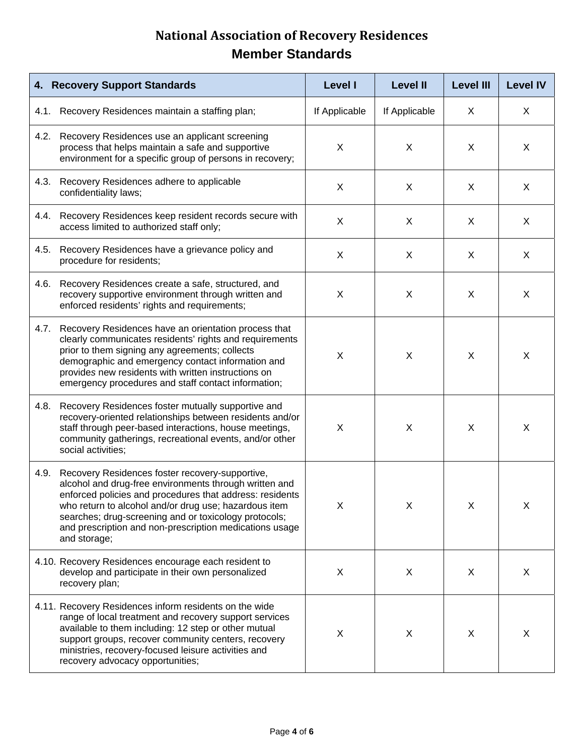| 4. Recovery Support Standards                                                                                                                                                                                                                                                                                                                                              | <b>Level I</b>            | <b>Level II</b> | <b>Level III</b> | <b>Level IV</b> |
|----------------------------------------------------------------------------------------------------------------------------------------------------------------------------------------------------------------------------------------------------------------------------------------------------------------------------------------------------------------------------|---------------------------|-----------------|------------------|-----------------|
| Recovery Residences maintain a staffing plan;<br>4.1.                                                                                                                                                                                                                                                                                                                      | If Applicable             | If Applicable   | X                | X               |
| 4.2.<br>Recovery Residences use an applicant screening<br>process that helps maintain a safe and supportive<br>environment for a specific group of persons in recovery;                                                                                                                                                                                                    | $\boldsymbol{\mathsf{X}}$ | X               | X                | X               |
| Recovery Residences adhere to applicable<br>4.3.<br>confidentiality laws;                                                                                                                                                                                                                                                                                                  | X                         | X               | X                | X               |
| Recovery Residences keep resident records secure with<br>4.4.<br>access limited to authorized staff only;                                                                                                                                                                                                                                                                  | X                         | X               | X                | X               |
| Recovery Residences have a grievance policy and<br>4.5.<br>procedure for residents;                                                                                                                                                                                                                                                                                        | X                         | X               | X                | X               |
| Recovery Residences create a safe, structured, and<br>4.6.<br>recovery supportive environment through written and<br>enforced residents' rights and requirements;                                                                                                                                                                                                          | X                         | X               | X                | X               |
| 4.7.<br>Recovery Residences have an orientation process that<br>clearly communicates residents' rights and requirements<br>prior to them signing any agreements; collects<br>demographic and emergency contact information and<br>provides new residents with written instructions on<br>emergency procedures and staff contact information;                               | X                         | X               | X                | X               |
| Recovery Residences foster mutually supportive and<br>4.8.<br>recovery-oriented relationships between residents and/or<br>staff through peer-based interactions, house meetings,<br>community gatherings, recreational events, and/or other<br>social activities;                                                                                                          | X                         | X               | X                | X               |
| 4.9.<br>Recovery Residences foster recovery-supportive,<br>alcohol and drug-free environments through written and<br>enforced policies and procedures that address: residents<br>who return to alcohol and/or drug use; hazardous item<br>searches; drug-screening and or toxicology protocols;<br>and prescription and non-prescription medications usage<br>and storage; | X                         | X               | X                | X               |
| 4.10. Recovery Residences encourage each resident to<br>develop and participate in their own personalized<br>recovery plan;                                                                                                                                                                                                                                                | X                         | X               | X                | X               |
| 4.11. Recovery Residences inform residents on the wide<br>range of local treatment and recovery support services<br>available to them including: 12 step or other mutual<br>support groups, recover community centers, recovery<br>ministries, recovery-focused leisure activities and<br>recovery advocacy opportunities;                                                 | X                         | X               | X                | X               |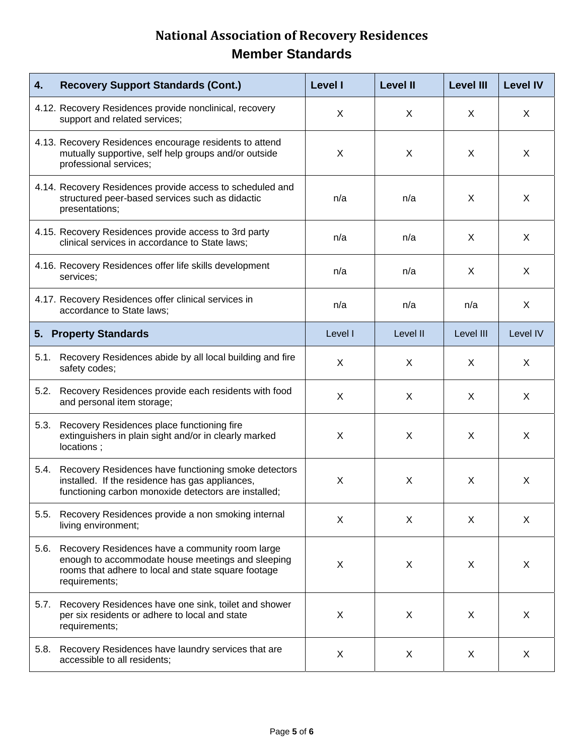| 4.   | <b>Recovery Support Standards (Cont.)</b>                                                                                                                                    | <b>Level I</b> | <b>Level II</b> | <b>Level III</b> | <b>Level IV</b> |
|------|------------------------------------------------------------------------------------------------------------------------------------------------------------------------------|----------------|-----------------|------------------|-----------------|
|      | 4.12. Recovery Residences provide nonclinical, recovery<br>support and related services;                                                                                     | X              | $\mathsf{X}$    | X                | X               |
|      | 4.13. Recovery Residences encourage residents to attend<br>mutually supportive, self help groups and/or outside<br>professional services;                                    | X              | X               | X                | X               |
|      | 4.14. Recovery Residences provide access to scheduled and<br>structured peer-based services such as didactic<br>presentations;                                               | n/a            | n/a             | X                | X               |
|      | 4.15. Recovery Residences provide access to 3rd party<br>clinical services in accordance to State laws;                                                                      | n/a            | n/a             | X                | X               |
|      | 4.16. Recovery Residences offer life skills development<br>services;                                                                                                         | n/a            | n/a             | X                | X               |
|      | 4.17. Recovery Residences offer clinical services in<br>accordance to State laws;                                                                                            | n/a            | n/a             | n/a              | X               |
|      | 5. Property Standards                                                                                                                                                        | Level I        | Level II        | Level III        | Level IV        |
|      | 5.1. Recovery Residences abide by all local building and fire<br>safety codes;                                                                                               | X              | X               | X                | X               |
| 5.2. | Recovery Residences provide each residents with food<br>and personal item storage;                                                                                           | X              | X               | X                | X               |
| 5.3. | Recovery Residences place functioning fire<br>extinguishers in plain sight and/or in clearly marked<br>locations;                                                            | X              | X               | X                | X               |
| 5.4. | Recovery Residences have functioning smoke detectors<br>installed. If the residence has gas appliances,<br>functioning carbon monoxide detectors are installed;              | X              | X               | X                | X               |
| 5.5. | Recovery Residences provide a non smoking internal<br>living environment;                                                                                                    | X              | X               | $\mathsf{X}$     | $\times$        |
| 5.6. | Recovery Residences have a community room large<br>enough to accommodate house meetings and sleeping<br>rooms that adhere to local and state square footage<br>requirements; | X              | X               | X                | X               |
| 5.7. | Recovery Residences have one sink, toilet and shower<br>per six residents or adhere to local and state<br>requirements;                                                      | X              | X               | X                | X               |
| 5.8. | Recovery Residences have laundry services that are<br>accessible to all residents;                                                                                           | X              | X               | X                | X               |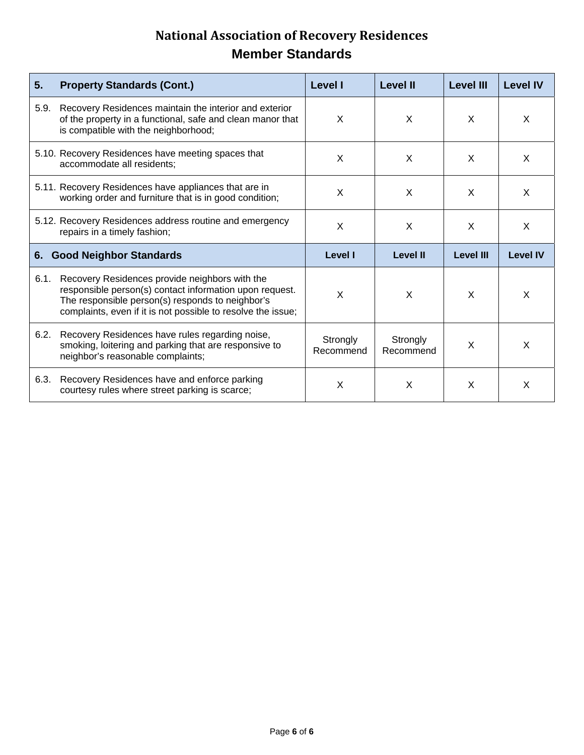| 5 <sub>1</sub><br><b>Property Standards (Cont.)</b>                                                                                                                                                                                   | <b>Level I</b>        | <b>Level II</b>       | <b>Level III</b> | <b>Level IV</b> |
|---------------------------------------------------------------------------------------------------------------------------------------------------------------------------------------------------------------------------------------|-----------------------|-----------------------|------------------|-----------------|
| Recovery Residences maintain the interior and exterior<br>5.9.<br>of the property in a functional, safe and clean manor that<br>is compatible with the neighborhood;                                                                  | X                     | X                     | X                | X               |
| 5.10. Recovery Residences have meeting spaces that<br>accommodate all residents;                                                                                                                                                      | X                     | X                     | $\mathsf{x}$     | $\mathsf{x}$    |
| 5.11. Recovery Residences have appliances that are in<br>working order and furniture that is in good condition;                                                                                                                       | X                     | X                     | $\mathsf{x}$     | X               |
| 5.12. Recovery Residences address routine and emergency<br>repairs in a timely fashion;                                                                                                                                               | X                     | X                     | $\times$         | $\mathsf{x}$    |
| <b>Good Neighbor Standards</b><br>6.                                                                                                                                                                                                  | <b>Level I</b>        | <b>Level II</b>       | <b>Level III</b> | <b>Level IV</b> |
| 6.1.<br>Recovery Residences provide neighbors with the<br>responsible person(s) contact information upon request.<br>The responsible person(s) responds to neighbor's<br>complaints, even if it is not possible to resolve the issue; | X                     | X                     | X                | X               |
| 6.2.<br>Recovery Residences have rules regarding noise,<br>smoking, loitering and parking that are responsive to<br>neighbor's reasonable complaints;                                                                                 | Strongly<br>Recommend | Strongly<br>Recommend | X                | X               |
| 6.3.<br>Recovery Residences have and enforce parking<br>courtesy rules where street parking is scarce;                                                                                                                                | X                     | X                     | $\mathsf{x}$     | X               |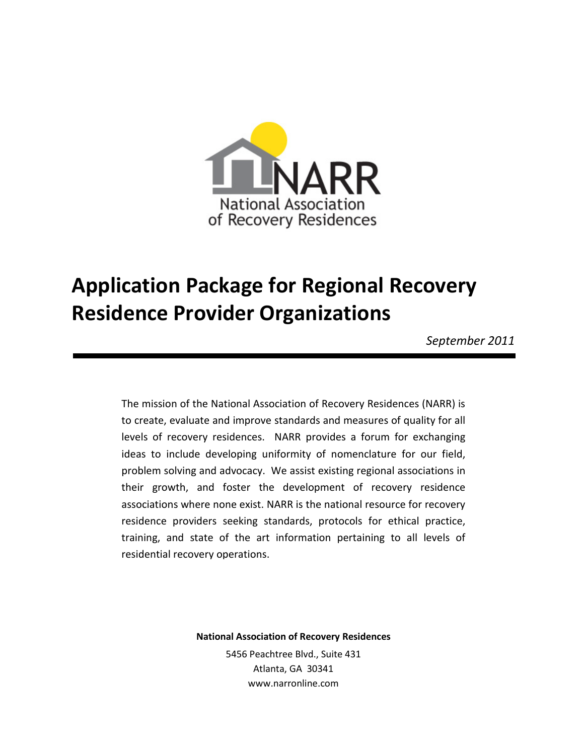

# **Application Package for Regional Recovery Residence Provider Organizations**

*September 2011* 

The mission of the National Association of Recovery Residences (NARR) is to create, evaluate and improve standards and measures of quality for all levels of recovery residences. NARR provides a forum for exchanging ideas to include developing uniformity of nomenclature for our field, problem solving and advocacy. We assist existing regional associations in their growth, and foster the development of recovery residence associations where none exist. NARR is the national resource for recovery residence providers seeking standards, protocols for ethical practice, training, and state of the art information pertaining to all levels of residential recovery operations.

**National Association of Recovery Residences**

5456 Peachtree Blvd., Suite 431 Atlanta, GA 30341 www.narronline.com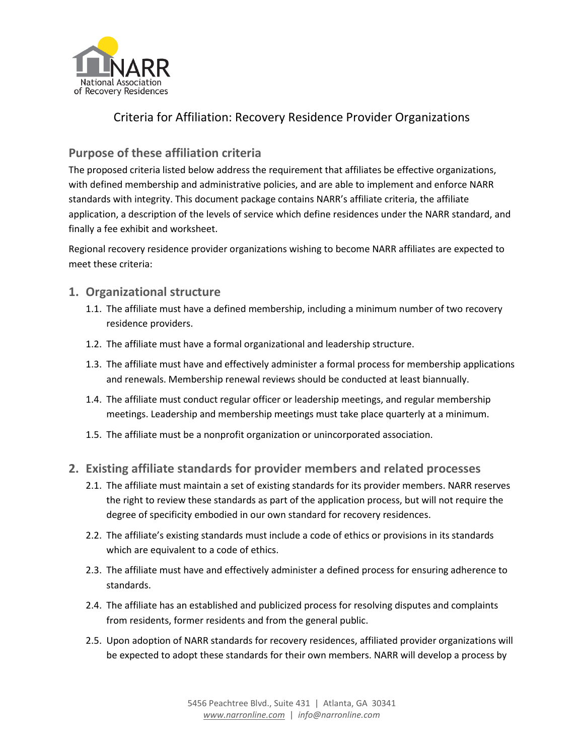

### Criteria for Affiliation: Recovery Residence Provider Organizations

### **Purpose of these affiliation criteria**

The proposed criteria listed below address the requirement that affiliates be effective organizations, with defined membership and administrative policies, and are able to implement and enforce NARR standards with integrity. This document package contains NARR's affiliate criteria, the affiliate application, a description of the levels of service which define residences under the NARR standard, and finally a fee exhibit and worksheet.

Regional recovery residence provider organizations wishing to become NARR affiliates are expected to meet these criteria:

### **1. Organizational structure**

- 1.1. The affiliate must have a defined membership, including a minimum number of two recovery residence providers.
- 1.2. The affiliate must have a formal organizational and leadership structure.
- 1.3. The affiliate must have and effectively administer a formal process for membership applications and renewals. Membership renewal reviews should be conducted at least biannually.
- 1.4. The affiliate must conduct regular officer or leadership meetings, and regular membership meetings. Leadership and membership meetings must take place quarterly at a minimum.
- 1.5. The affiliate must be a nonprofit organization or unincorporated association.

### **2. Existing affiliate standards for provider members and related processes**

- 2.1. The affiliate must maintain a set of existing standards for its provider members. NARR reserves the right to review these standards as part of the application process, but will not require the degree of specificity embodied in our own standard for recovery residences.
- 2.2. The affiliate's existing standards must include a code of ethics or provisions in its standards which are equivalent to a code of ethics.
- 2.3. The affiliate must have and effectively administer a defined process for ensuring adherence to standards.
- 2.4. The affiliate has an established and publicized process for resolving disputes and complaints from residents, former residents and from the general public.
- 2.5. Upon adoption of NARR standards for recovery residences, affiliated provider organizations will be expected to adopt these standards for their own members. NARR will develop a process by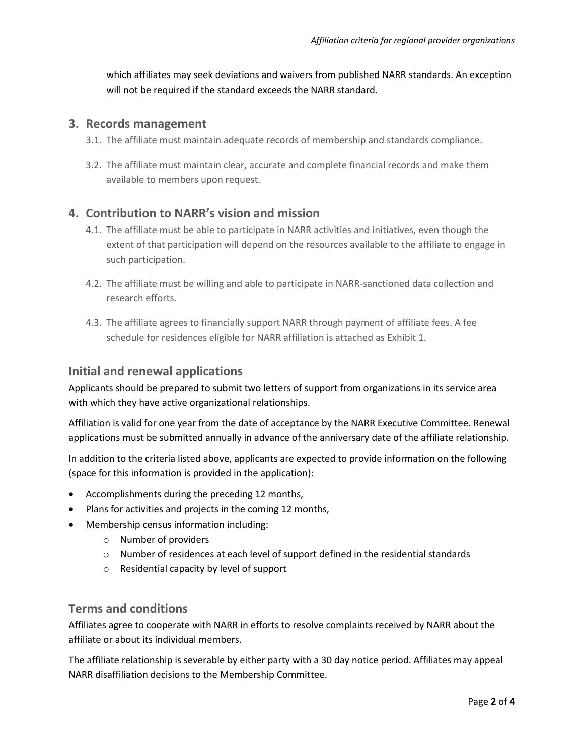which affiliates may seek deviations and waivers from published NARR standards. An exception will not be required if the standard exceeds the NARR standard.

#### **3. Records management**

- 3.1. The affiliate must maintain adequate records of membership and standards compliance.
- 3.2. The affiliate must maintain clear, accurate and complete financial records and make them available to members upon request.

### **4. Contribution to NARR's vision and mission**

- 4.1. The affiliate must be able to participate in NARR activities and initiatives, even though the extent of that participation will depend on the resources available to the affiliate to engage in such participation.
- 4.2. The affiliate must be willing and able to participate in NARR-sanctioned data collection and research efforts.
- 4.3. The affiliate agrees to financially support NARR through payment of affiliate fees. A fee schedule for residences eligible for NARR affiliation is attached as Exhibit 1.

### **Initial and renewal applications**

Applicants should be prepared to submit two letters of support from organizations in its service area with which they have active organizational relationships.

Affiliation is valid for one year from the date of acceptance by the NARR Executive Committee. Renewal applications must be submitted annually in advance of the anniversary date of the affiliate relationship.

In addition to the criteria listed above, applicants are expected to provide information on the following (space for this information is provided in the application):

- Accomplishments during the preceding 12 months,
- Plans for activities and projects in the coming 12 months,
- Membership census information including:
	- o Number of providers
	- o Number of residences at each level of support defined in the residential standards
	- o Residential capacity by level of support

### **Terms and conditions**

Affiliates agree to cooperate with NARR in efforts to resolve complaints received by NARR about the affiliate or about its individual members.

The affiliate relationship is severable by either party with a 30 day notice period. Affiliates may appeal NARR disaffiliation decisions to the Membership Committee.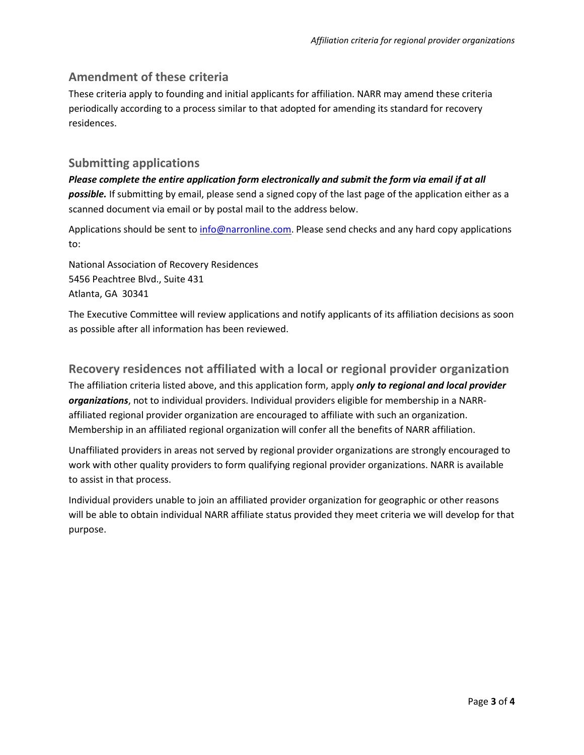### **Amendment of these criteria**

These criteria apply to founding and initial applicants for affiliation. NARR may amend these criteria periodically according to a process similar to that adopted for amending its standard for recovery residences.

### **Submitting applications**

*Please complete the entire application form electronically and submit the form via email if at all possible.* If submitting by email, please send a signed copy of the last page of the application either as a scanned document via email or by postal mail to the address below.

Applications should be sent to [info@narronline.com.](mailto:info@narronline.com) Please send checks and any hard copy applications to:

National Association of Recovery Residences 5456 Peachtree Blvd., Suite 431 Atlanta, GA 30341

The Executive Committee will review applications and notify applicants of its affiliation decisions as soon as possible after all information has been reviewed.

### **Recovery residences not affiliated with a local or regional provider organization**

The affiliation criteria listed above, and this application form, apply *only to regional and local provider organizations*, not to individual providers. Individual providers eligible for membership in a NARRaffiliated regional provider organization are encouraged to affiliate with such an organization. Membership in an affiliated regional organization will confer all the benefits of NARR affiliation.

Unaffiliated providers in areas not served by regional provider organizations are strongly encouraged to work with other quality providers to form qualifying regional provider organizations. NARR is available to assist in that process.

Individual providers unable to join an affiliated provider organization for geographic or other reasons will be able to obtain individual NARR affiliate status provided they meet criteria we will develop for that purpose.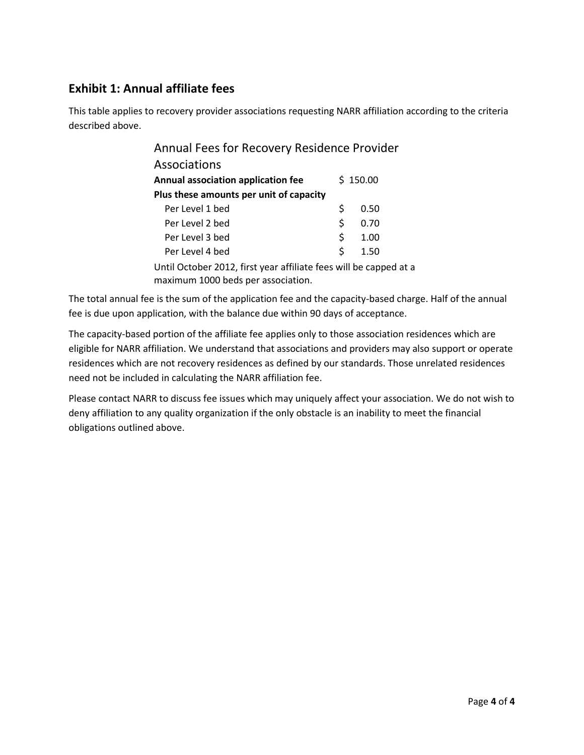### **Exhibit 1: Annual affiliate fees**

This table applies to recovery provider associations requesting NARR affiliation according to the criteria described above.

| Annual Fees for Recovery Residence Provider                       |    |          |  |  |  |
|-------------------------------------------------------------------|----|----------|--|--|--|
| Associations                                                      |    |          |  |  |  |
| Annual association application fee                                |    | \$150.00 |  |  |  |
| Plus these amounts per unit of capacity                           |    |          |  |  |  |
| Per Level 1 bed                                                   | \$ | 0.50     |  |  |  |
| Per Level 2 bed                                                   | \$ | 0.70     |  |  |  |
| Per Level 3 bed                                                   | \$ | 1.00     |  |  |  |
| Per Level 4 bed                                                   | Ś  | 1.50     |  |  |  |
| Until October 2012, first year affiliate fees will be capped at a |    |          |  |  |  |
| maximum 1000 beds per association.                                |    |          |  |  |  |

The total annual fee is the sum of the application fee and the capacity-based charge. Half of the annual fee is due upon application, with the balance due within 90 days of acceptance.

The capacity-based portion of the affiliate fee applies only to those association residences which are eligible for NARR affiliation. We understand that associations and providers may also support or operate residences which are not recovery residences as defined by our standards. Those unrelated residences need not be included in calculating the NARR affiliation fee.

Please contact NARR to discuss fee issues which may uniquely affect your association. We do not wish to deny affiliation to any quality organization if the only obstacle is an inability to meet the financial obligations outlined above.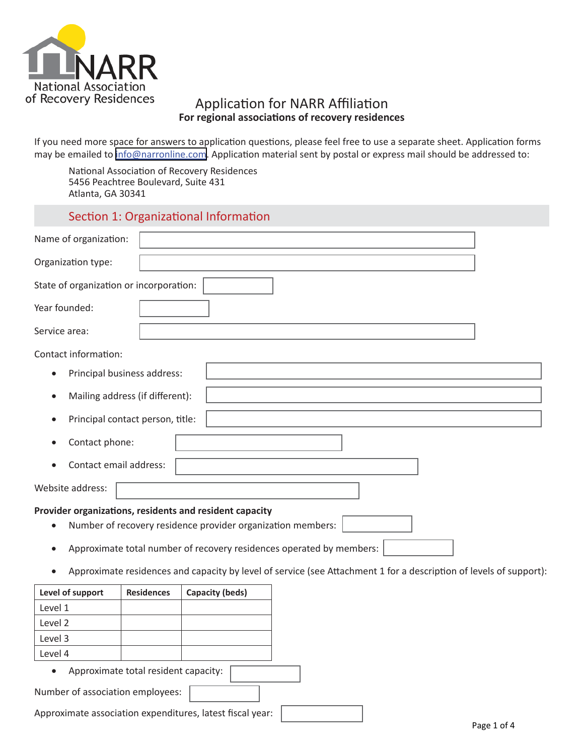

### Application for NARR Affiliation **For regional associations of recovery residences**

If you need more space for answers to application questions, please feel free to use a separate sheet. Application forms may be emailed to [info@narronline.com.](mailto:info@narronline.com) Application material sent by postal or express mail should be addressed to:

National Association of Recovery Residences 5456 Peachtree Boulevard, Suite 431 Atlanta, GA 30341

### Section 1: Organizational Information

| Name of organization:                   |                                  |                                                                                                                        |  |  |
|-----------------------------------------|----------------------------------|------------------------------------------------------------------------------------------------------------------------|--|--|
| Organization type:                      |                                  |                                                                                                                        |  |  |
| State of organization or incorporation: |                                  |                                                                                                                        |  |  |
| Year founded:                           |                                  |                                                                                                                        |  |  |
| Service area:                           |                                  |                                                                                                                        |  |  |
| Contact information:                    |                                  |                                                                                                                        |  |  |
| $\bullet$                               | Principal business address:      |                                                                                                                        |  |  |
| $\bullet$                               | Mailing address (if different):  |                                                                                                                        |  |  |
|                                         | Principal contact person, title: |                                                                                                                        |  |  |
| Contact phone:                          |                                  |                                                                                                                        |  |  |
| Contact email address:                  |                                  |                                                                                                                        |  |  |
| Website address:                        |                                  |                                                                                                                        |  |  |
|                                         |                                  | Provider organizations, residents and resident capacity<br>Number of recovery residence provider organization members: |  |  |
|                                         |                                  | Approximate total number of recovery residences operated by members:                                                   |  |  |
| $\bullet$                               |                                  | Approximate residences and capacity by level of service (see Attachment 1 for a description of levels of support):     |  |  |
| Level of support                        | <b>Residences</b>                | <b>Capacity (beds)</b>                                                                                                 |  |  |
| Level 1                                 |                                  |                                                                                                                        |  |  |
| Level 2                                 |                                  |                                                                                                                        |  |  |
| Level 3                                 |                                  |                                                                                                                        |  |  |

• Approximate total resident capacity:

Number of association employees:

Level 4

Approximate association expenditures, latest fiscal year: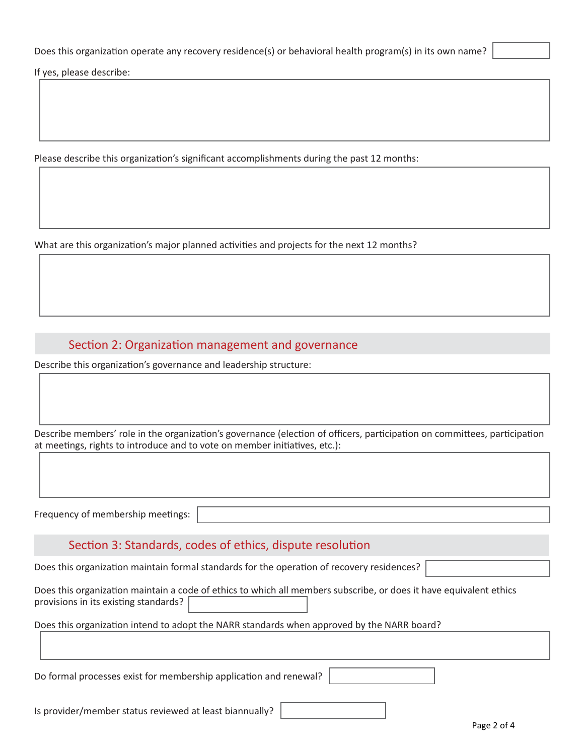If yes, please describe:

Please describe this organization's significant accomplishments during the past 12 months:

What are this organization's major planned activities and projects for the next 12 months?

### Section 2: Organization management and governance

Describe this organization's governance and leadership structure:

Describe members' role in the organization's governance (election of officers, participation on committees, participation at meetings, rights to introduce and to vote on member initiatives, etc.):

Frequency of membership meetings:

### Section 3: Standards, codes of ethics, dispute resolution

Does this organization maintain formal standards for the operation of recovery residences?

| Does this organization maintain a code of ethics to which all members subscribe, or does it have equivalent ethics |  |  |
|--------------------------------------------------------------------------------------------------------------------|--|--|
| provisions in its existing standards?                                                                              |  |  |

#### Does this organization intend to adopt the NARR standards when approved by the NARR board?

Do formal processes exist for membership application and renewal?

Is provider/member status reviewed at least biannually?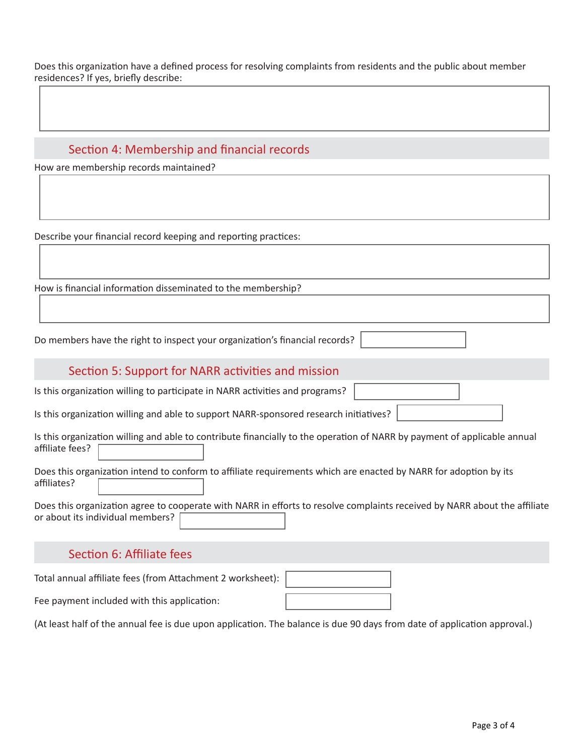Does this organization have a defined process for resolving complaints from residents and the public about member residences? If yes, briefly describe:

### Section 4: Membership and financial records

How are membership records maintained?

Describe your financial record keeping and reporting practices:

How is financial information disseminated to the membership?

Do members have the right to inspect your organization's financial records?

### Section 5: Support for NARR activities and mission

Is this organization willing to participate in NARR activities and programs?

Is this organization willing and able to support NARR-sponsored research initiatives?

|                 | Is this organization willing and able to contribute financially to the operation of NARR by payment of applicable annual |  |  |
|-----------------|--------------------------------------------------------------------------------------------------------------------------|--|--|
| affiliate fees? |                                                                                                                          |  |  |

Does this organization intend to conform to affiliate requirements which are enacted by NARR for adoption by its affiliates?

Does this organization agree to cooperate with NARR in efforts to resolve complaints received by NARR about the affiliate or about its individual members?

### Section 6: Affiliate fees

Total annual affiliate fees (from Attachment 2 worksheet): Fee payment included with this application:

(At least half of the annual fee is due upon application. The balance is due 90 days from date of application approval.)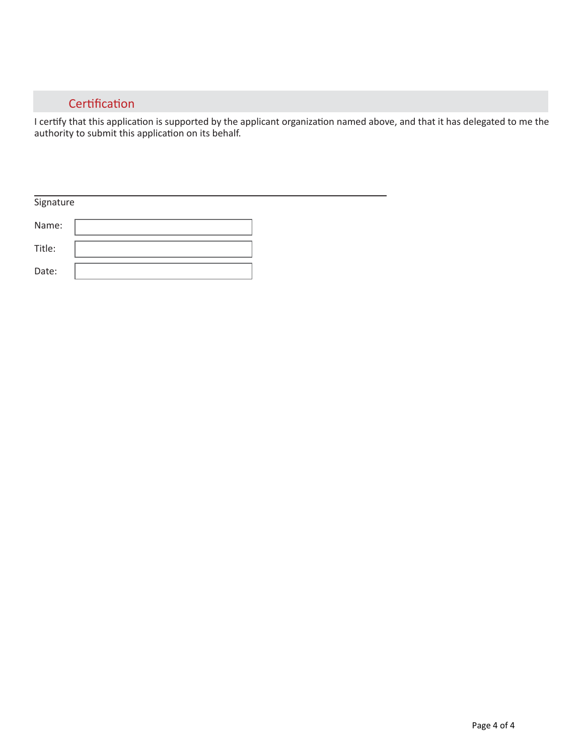### **Certification**

I certify that this application is supported by the applicant organization named above, and that it has delegated to me the authority to submit this application on its behalf.

| Signature |  |
|-----------|--|
| Name:     |  |
| Title:    |  |
| Date:     |  |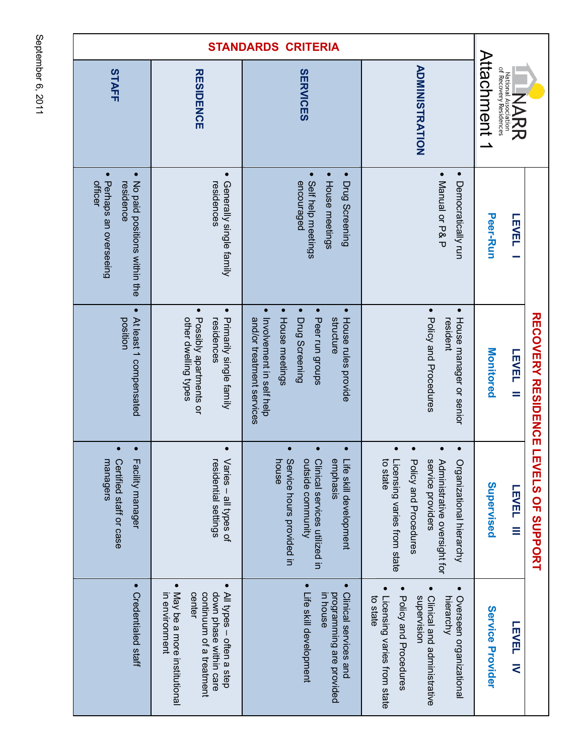| STAFF                                                                                                   | <b>RESIDENCE</b>                                                                                                                                                    | <b>SERVICES</b>                                                                                                                                                                         | <b>ADMINISTRATION</b>                                                                                                                                               | <b>Attachment 1</b>     | National Association<br>of Recovery Residences<br>NARR |                                   |
|---------------------------------------------------------------------------------------------------------|---------------------------------------------------------------------------------------------------------------------------------------------------------------------|-----------------------------------------------------------------------------------------------------------------------------------------------------------------------------------------|---------------------------------------------------------------------------------------------------------------------------------------------------------------------|-------------------------|--------------------------------------------------------|-----------------------------------|
| $\bullet$<br>$\bullet$<br>Perhaps an overseeing<br>No paid positions within the<br>officer<br>residence | $\bullet$<br>Generally single family<br>residences                                                                                                                  | • House meetings<br>$\bullet$<br>$\bullet$<br>Self help meetings<br>Drug Screening<br>encouraged                                                                                        | • Manual or P& P<br>$\bullet$<br>Democratically run                                                                                                                 | <b>Peer-Run</b>         | LEVEL                                                  |                                   |
| $\bullet$<br>At least 1 compensated<br>position                                                         | $\bullet$<br>$\bullet$<br>Possibly apartments or<br>Primarily single family<br>other dwelling types<br>residences                                                   | $\bullet$<br>$\bullet$<br>$\bullet$<br>Drug Screening<br>House rules provide<br>Involvement in self help<br>Peer run groups<br>structure<br>and/or treatment services<br>House meetings | $\bullet$<br>$\bullet$<br>Policy and Procedures<br>House manager or senior<br>resident                                                                              | Monitored               | LEVEL<br>$\equiv$                                      | <b>RECOVERY RESIDENCE</b>         |
| managers<br>Facility manager<br>Certified staff or case                                                 | $\bullet$<br>residential settings<br>/aries – all types of                                                                                                          | Service hours provided in<br>house<br>outside community<br>Clinical services utilized in<br>emphasis<br>ife skill development                                                           | to state<br>service providers<br>icensing varies from state<br>Policy and Procedures<br><b>Administrative oversight for</b><br>Organizational hierarchy             | Supervised              | <b>LEVEL</b><br>Ξ                                      | m<br>M<br><b>NEL'S OF SUPPORT</b> |
| $\bullet$<br>Credentialed staff                                                                         | $\bullet$<br>$\bullet$<br>May be a more institutional<br>All types - often a step<br>continuum of a treatment<br>down phase within care<br>center<br>in environment | $\bullet$<br>Clinical services and<br>Life skill development<br>programming are provided<br>m house                                                                                     | $\bullet$<br>Clinical and administrative<br>Policy and Procedures<br>Overseen organizational<br>Licensing varies from state<br>supervision<br>hierarchy<br>to state | <b>Service Provider</b> | <b>LEVEL</b><br>⋜                                      |                                   |

September 6, 2011 September 6, 2011